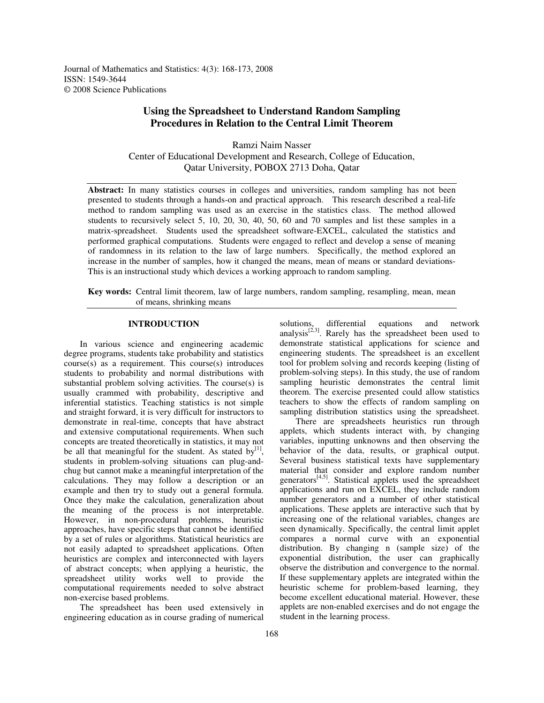Journal of Mathematics and Statistics: 4(3): 168-173, 2008 ISSN: 1549-3644 © 2008 Science Publications

# **Using the Spreadsheet to Understand Random Sampling Procedures in Relation to the Central Limit Theorem**

Ramzi Naim Nasser Center of Educational Development and Research, College of Education, Qatar University, POBOX 2713 Doha, Qatar

Abstract: In many statistics courses in colleges and universities, random sampling has not been presented to students through a hands-on and practical approach. This research described a real-life method to random sampling was used as an exercise in the statistics class. The method allowed students to recursively select 5, 10, 20, 30, 40, 50, 60 and 70 samples and list these samples in a matrix-spreadsheet. Students used the spreadsheet software-EXCEL, calculated the statistics and performed graphical computations. Students were engaged to reflect and develop a sense of meaning of randomness in its relation to the law of large numbers. Specifically, the method explored an increase in the number of samples, how it changed the means, mean of means or standard deviations-This is an instructional study which devices a working approach to random sampling.

**Key words:** Central limit theorem, law of large numbers, random sampling, resampling, mean, mean of means, shrinking means

# **INTRODUCTION**

In various science and engineering academic degree programs, students take probability and statistics course(s) as a requirement. This course(s) introduces students to probability and normal distributions with substantial problem solving activities. The course(s) is usually crammed with probability, descriptive and inferential statistics. Teaching statistics is not simple and straight forward, it is very difficult for instructors to demonstrate in real-time, concepts that have abstract and extensive computational requirements. When such concepts are treated theoretically in statistics, it may not be all that meaningful for the student. As stated  $by^{[1]}$ , students in problem-solving situations can plug-andchug but cannot make a meaningful interpretation of the calculations. They may follow a description or an example and then try to study out a general formula. Once they make the calculation, generalization about the meaning of the process is not interpretable. However, in non-procedural problems, heuristic approaches, have specific steps that cannot be identified by a set of rules or algorithms. Statistical heuristics are not easily adapted to spreadsheet applications. Often heuristics are complex and interconnected with layers of abstract concepts; when applying a heuristic, the spreadsheet utility works well to provide the computational requirements needed to solve abstract non-exercise based problems.

The spreadsheet has been used extensively in engineering education as in course grading of numerical

solutions, differential equations and network analysis $^{[2,3]}$ . Rarely has the spreadsheet been used to demonstrate statistical applications for science and engineering students. The spreadsheet is an excellent tool for problem solving and records keeping (listing of problem-solving steps). In this study, the use of random sampling heuristic demonstrates the central limit theorem. The exercise presented could allow statistics teachers to show the effects of random sampling on sampling distribution statistics using the spreadsheet.

There are spreadsheets heuristics run through applets, which students interact with, by changing variables, inputting unknowns and then observing the behavior of the data, results, or graphical output. Several business statistical texts have supplementary material that consider and explore random number generators<sup>[4,5]</sup>. Statistical applets used the spreadsheet applications and run on EXCEL, they include random number generators and a number of other statistical applications. These applets are interactive such that by increasing one of the relational variables, changes are seen dynamically. Specifically, the central limit applet compares a normal curve with an exponential distribution. By changing n (sample size) of the exponential distribution, the user can graphically observe the distribution and convergence to the normal. If these supplementary applets are integrated within the heuristic scheme for problem-based learning, they become excellent educational material. However, these applets are non-enabled exercises and do not engage the student in the learning process.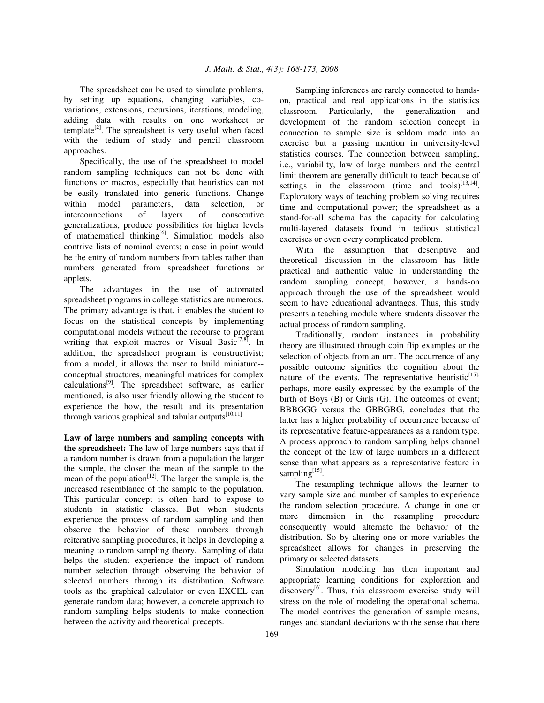The spreadsheet can be used to simulate problems, by setting up equations, changing variables, covariations, extensions, recursions, iterations, modeling, adding data with results on one worksheet or template<sup>[2]</sup>. The spreadsheet is very useful when faced with the tedium of study and pencil classroom approaches.

Specifically, the use of the spreadsheet to model random sampling techniques can not be done with functions or macros, especially that heuristics can not be easily translated into generic functions. Change within model parameters, data selection, or interconnections of layers of consecutive generalizations, produce possibilities for higher levels of mathematical thinking<sup>[6]</sup>. Simulation models also contrive lists of nominal events; a case in point would be the entry of random numbers from tables rather than numbers generated from spreadsheet functions or applets.

The advantages in the use of automated spreadsheet programs in college statistics are numerous. The primary advantage is that, it enables the student to focus on the statistical concepts by implementing computational models without the recourse to program writing that exploit macros or Visual Basic<sup>[7,8]</sup>. In addition, the spreadsheet program is constructivist; from a model, it allows the user to build miniature- conceptual structures, meaningful matrices for complex calculations<sup>[9]</sup>. The spreadsheet software, as earlier mentioned, is also user friendly allowing the student to experience the how, the result and its presentation through various graphical and tabular outputs<sup>[10,11]</sup>.

**Law of large numbers and sampling concepts with the spreadsheet:** The law of large numbers says that if a random number is drawn from a population the larger the sample, the closer the mean of the sample to the mean of the population<sup>[12]</sup>. The larger the sample is, the increased resemblance of the sample to the population. This particular concept is often hard to expose to students in statistic classes. But when students experience the process of random sampling and then observe the behavior of these numbers through reiterative sampling procedures, it helps in developing a meaning to random sampling theory. Sampling of data helps the student experience the impact of random number selection through observing the behavior of selected numbers through its distribution. Software tools as the graphical calculator or even EXCEL can generate random data; however, a concrete approach to random sampling helps students to make connection between the activity and theoretical precepts.

Sampling inferences are rarely connected to handson, practical and real applications in the statistics classroom. Particularly, the generalization and development of the random selection concept in connection to sample size is seldom made into an exercise but a passing mention in university-level statistics courses. The connection between sampling, i.e., variability, law of large numbers and the central limit theorem are generally difficult to teach because of settings in the classroom (time and tools) $^{[13,14]}$ . Exploratory ways of teaching problem solving requires time and computational power; the spreadsheet as a stand-for-all schema has the capacity for calculating multi-layered datasets found in tedious statistical exercises or even every complicated problem.

With the assumption that descriptive and theoretical discussion in the classroom has little practical and authentic value in understanding the random sampling concept, however, a hands-on approach through the use of the spreadsheet would seem to have educational advantages. Thus, this study presents a teaching module where students discover the actual process of random sampling.

Traditionally, random instances in probability theory are illustrated through coin flip examples or the selection of objects from an urn. The occurrence of any possible outcome signifies the cognition about the nature of the events. The representative heuristic<sup>[15],</sup> perhaps, more easily expressed by the example of the birth of Boys (B) or Girls (G). The outcomes of event; BBBGGG versus the GBBGBG, concludes that the latter has a higher probability of occurrence because of its representative feature-appearances as a random type. A process approach to random sampling helps channel the concept of the law of large numbers in a different sense than what appears as a representative feature in sampling<sup>[15]</sup>.

The resampling technique allows the learner to vary sample size and number of samples to experience the random selection procedure. A change in one or more dimension in the resampling procedure consequently would alternate the behavior of the distribution. So by altering one or more variables the spreadsheet allows for changes in preserving the primary or selected datasets.

Simulation modeling has then important and appropriate learning conditions for exploration and discovery<sup>[6]</sup>. Thus, this classroom exercise study will stress on the role of modeling the operational schema. The model contrives the generation of sample means, ranges and standard deviations with the sense that there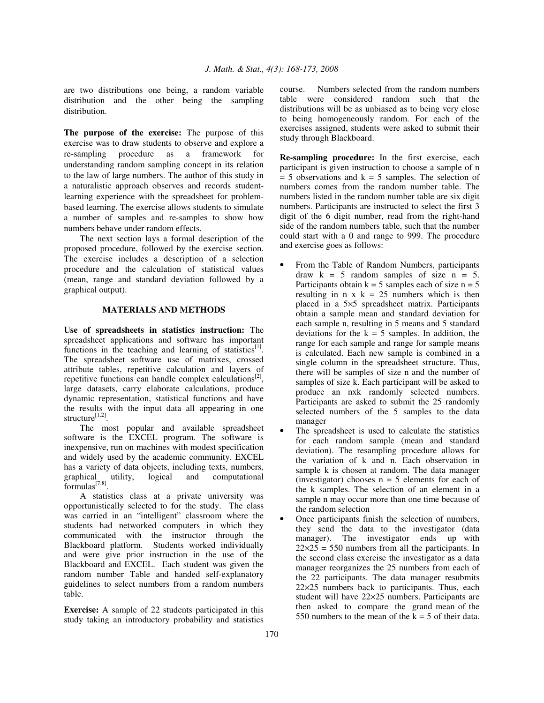are two distributions one being, a random variable distribution and the other being the sampling distribution.

**The purpose of the exercise:** The purpose of this exercise was to draw students to observe and explore a re-sampling procedure as a framework for understanding random sampling concept in its relation to the law of large numbers. The author of this study in a naturalistic approach observes and records studentlearning experience with the spreadsheet for problembased learning. The exercise allows students to simulate a number of samples and re-samples to show how numbers behave under random effects.

The next section lays a formal description of the proposed procedure, followed by the exercise section. The exercise includes a description of a selection procedure and the calculation of statistical values (mean, range and standard deviation followed by a graphical output).

#### **MATERIALS AND METHODS**

**Use of spreadsheets in statistics instruction:** The spreadsheet applications and software has important functions in the teaching and learning of statistics<sup>[1]</sup>. The spreadsheet software use of matrixes, crossed attribute tables, repetitive calculation and layers of repetitive functions can handle complex calculations<sup>[2]</sup>, large datasets, carry elaborate calculations, produce dynamic representation, statistical functions and have the results with the input data all appearing in one structure<sup>[1,2]</sup>.

The most popular and available spreadsheet software is the EXCEL program. The software is inexpensive, run on machines with modest specification and widely used by the academic community. EXCEL has a variety of data objects, including texts, numbers, logical and computational  $formulas^{[7,8]}.$ 

A statistics class at a private university was opportunistically selected to for the study. The class was carried in an "intelligent" classroom where the students had networked computers in which they communicated with the instructor through the Blackboard platform. Students worked individually and were give prior instruction in the use of the Blackboard and EXCEL. Each student was given the random number Table and handed self-explanatory guidelines to select numbers from a random numbers table.

**Exercise:** A sample of 22 students participated in this study taking an introductory probability and statistics course. Numbers selected from the random numbers table were considered random such that the distributions will be as unbiased as to being very close to being homogeneously random. For each of the exercises assigned, students were asked to submit their study through Blackboard.

**Re-sampling procedure:** In the first exercise, each participant is given instruction to choose a sample of n  $= 5$  observations and  $k = 5$  samples. The selection of numbers comes from the random number table. The numbers listed in the random number table are six digit numbers. Participants are instructed to select the first 3 digit of the 6 digit number, read from the right-hand side of the random numbers table, such that the number could start with a 0 and range to 999. The procedure and exercise goes as follows:

- From the Table of Random Numbers, participants draw  $k = 5$  random samples of size  $n = 5$ . Participants obtain  $k = 5$  samples each of size  $n = 5$ resulting in n x  $k = 25$  numbers which is then placed in a 5×5 spreadsheet matrix. Participants obtain a sample mean and standard deviation for each sample n, resulting in 5 means and 5 standard deviations for the  $k = 5$  samples. In addition, the range for each sample and range for sample means is calculated. Each new sample is combined in a single column in the spreadsheet structure. Thus, there will be samples of size n and the number of samples of size k. Each participant will be asked to produce an nxk randomly selected numbers. Participants are asked to submit the 25 randomly selected numbers of the 5 samples to the data manager
- The spreadsheet is used to calculate the statistics for each random sample (mean and standard deviation). The resampling procedure allows for the variation of k and n. Each observation in sample k is chosen at random. The data manager (investigator) chooses  $n = 5$  elements for each of the k samples. The selection of an element in a sample n may occur more than one time because of the random selection
- Once participants finish the selection of numbers, they send the data to the investigator (data manager). The investigator ends up with  $22\times25 = 550$  numbers from all the participants. In the second class exercise the investigator as a data manager reorganizes the 25 numbers from each of the 22 participants. The data manager resubmits 22×25 numbers back to participants. Thus, each student will have 22×25 numbers. Participants are then asked to compare the grand mean of the 550 numbers to the mean of the  $k = 5$  of their data.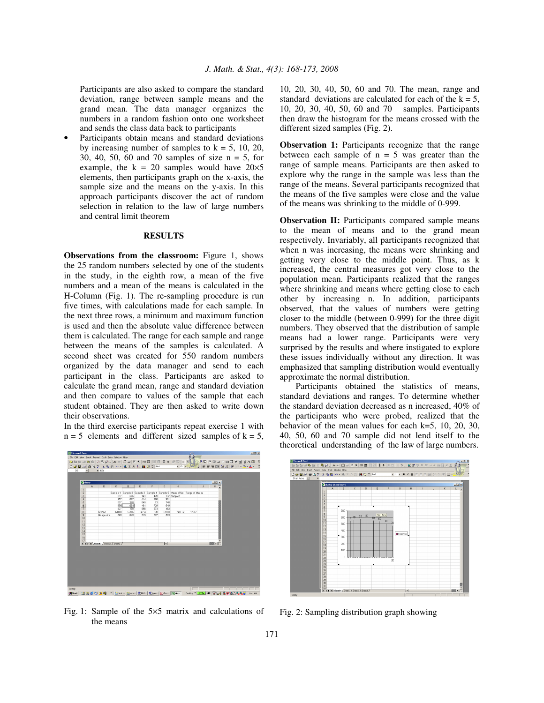Participants are also asked to compare the standard deviation, range between sample means and the grand mean. The data manager organizes the numbers in a random fashion onto one worksheet and sends the class data back to participants

• Participants obtain means and standard deviations by increasing number of samples to  $k = 5, 10, 20$ , 30, 40, 50, 60 and 70 samples of size n = 5, for example, the  $k = 20$  samples would have  $20 \times 5$ elements, then participants graph on the x-axis, the sample size and the means on the y-axis. In this approach participants discover the act of random selection in relation to the law of large numbers and central limit theorem

## **RESULTS**

**Observations from the classroom:** Figure 1, shows the 25 random numbers selected by one of the students in the study, in the eighth row, a mean of the five numbers and a mean of the means is calculated in the H-Column (Fig. 1). The re-sampling procedure is run five times, with calculations made for each sample. In the next three rows, a minimum and maximum function is used and then the absolute value difference between them is calculated. The range for each sample and range between the means of the samples is calculated. A second sheet was created for 550 random numbers organized by the data manager and send to each participant in the class. Participants are asked to calculate the grand mean, range and standard deviation and then compare to values of the sample that each student obtained. They are then asked to write down their observations.

In the third exercise participants repeat exercise 1 with  $n = 5$  elements and different sized samples of  $k = 5$ ,



Fig. 1: Sample of the 5×5 matrix and calculations of the means

10, 20, 30, 40, 50, 60 and 70. The mean, range and standard deviations are calculated for each of the  $k = 5$ , 10, 20, 30, 40, 50, 60 and 70 samples. Participants then draw the histogram for the means crossed with the different sized samples (Fig. 2).

**Observation 1:** Participants recognize that the range between each sample of  $n = 5$  was greater than the range of sample means. Participants are then asked to explore why the range in the sample was less than the range of the means. Several participants recognized that the means of the five samples were close and the value of the means was shrinking to the middle of 0-999.

**Observation II:** Participants compared sample means to the mean of means and to the grand mean respectively. Invariably, all participants recognized that when n was increasing, the means were shrinking and getting very close to the middle point. Thus, as k increased, the central measures got very close to the population mean. Participants realized that the ranges where shrinking and means where getting close to each other by increasing n. In addition, participants observed, that the values of numbers were getting closer to the middle (between 0-999) for the three digit numbers. They observed that the distribution of sample means had a lower range. Participants were very surprised by the results and where instigated to explore these issues individually without any direction. It was emphasized that sampling distribution would eventually approximate the normal distribution.

Participants obtained the statistics of means, standard deviations and ranges. To determine whether the standard deviation decreased as n increased, 40% of the participants who were probed, realized that the behavior of the mean values for each k=5, 10, 20, 30, 40, 50, 60 and 70 sample did not lend itself to the theoretical understanding of the law of large numbers.



Fig. 2: Sampling distribution graph showing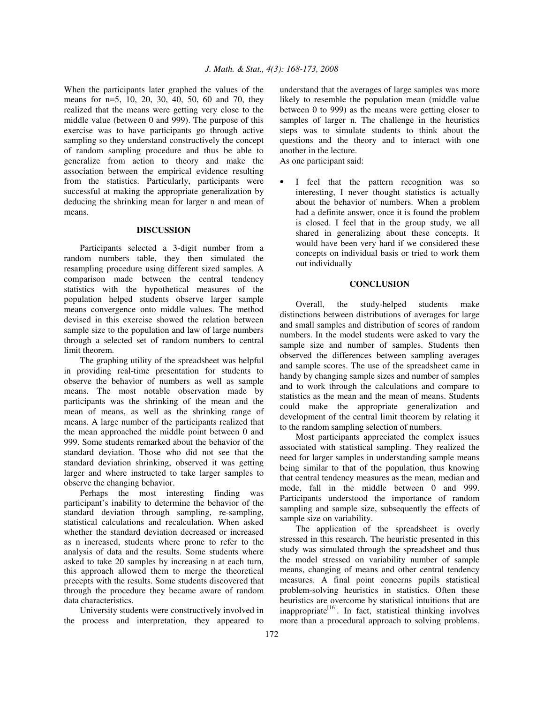When the participants later graphed the values of the means for n=5, 10, 20, 30, 40, 50, 60 and 70, they realized that the means were getting very close to the middle value (between 0 and 999). The purpose of this exercise was to have participants go through active sampling so they understand constructively the concept of random sampling procedure and thus be able to generalize from action to theory and make the association between the empirical evidence resulting from the statistics. Particularly, participants were successful at making the appropriate generalization by deducing the shrinking mean for larger n and mean of means.

### **DISCUSSION**

Participants selected a 3-digit number from a random numbers table, they then simulated the resampling procedure using different sized samples. A comparison made between the central tendency statistics with the hypothetical measures of the population helped students observe larger sample means convergence onto middle values. The method devised in this exercise showed the relation between sample size to the population and law of large numbers through a selected set of random numbers to central limit theorem.

The graphing utility of the spreadsheet was helpful in providing real-time presentation for students to observe the behavior of numbers as well as sample means. The most notable observation made by participants was the shrinking of the mean and the mean of means, as well as the shrinking range of means. A large number of the participants realized that the mean approached the middle point between 0 and 999. Some students remarked about the behavior of the standard deviation. Those who did not see that the standard deviation shrinking, observed it was getting larger and where instructed to take larger samples to observe the changing behavior.

Perhaps the most interesting finding was participant's inability to determine the behavior of the standard deviation through sampling, re-sampling, statistical calculations and recalculation. When asked whether the standard deviation decreased or increased as n increased, students where prone to refer to the analysis of data and the results. Some students where asked to take 20 samples by increasing n at each turn, this approach allowed them to merge the theoretical precepts with the results. Some students discovered that through the procedure they became aware of random data characteristics.

University students were constructively involved in the process and interpretation, they appeared to understand that the averages of large samples was more likely to resemble the population mean (middle value between 0 to 999) as the means were getting closer to samples of larger n. The challenge in the heuristics steps was to simulate students to think about the questions and the theory and to interact with one another in the lecture.

As one participant said:

I feel that the pattern recognition was so interesting, I never thought statistics is actually about the behavior of numbers. When a problem had a definite answer, once it is found the problem is closed. I feel that in the group study, we all shared in generalizing about these concepts. It would have been very hard if we considered these concepts on individual basis or tried to work them out individually

#### **CONCLUSION**

Overall, the study-helped students make distinctions between distributions of averages for large and small samples and distribution of scores of random numbers. In the model students were asked to vary the sample size and number of samples. Students then observed the differences between sampling averages and sample scores. The use of the spreadsheet came in handy by changing sample sizes and number of samples and to work through the calculations and compare to statistics as the mean and the mean of means. Students could make the appropriate generalization and development of the central limit theorem by relating it to the random sampling selection of numbers.

Most participants appreciated the complex issues associated with statistical sampling. They realized the need for larger samples in understanding sample means being similar to that of the population, thus knowing that central tendency measures as the mean, median and mode, fall in the middle between 0 and 999. Participants understood the importance of random sampling and sample size, subsequently the effects of sample size on variability.

The application of the spreadsheet is overly stressed in this research. The heuristic presented in this study was simulated through the spreadsheet and thus the model stressed on variability number of sample means, changing of means and other central tendency measures. A final point concerns pupils statistical problem-solving heuristics in statistics. Often these heuristics are overcome by statistical intuitions that are inappropriate<sup>[16]</sup>. In fact, statistical thinking involves more than a procedural approach to solving problems.